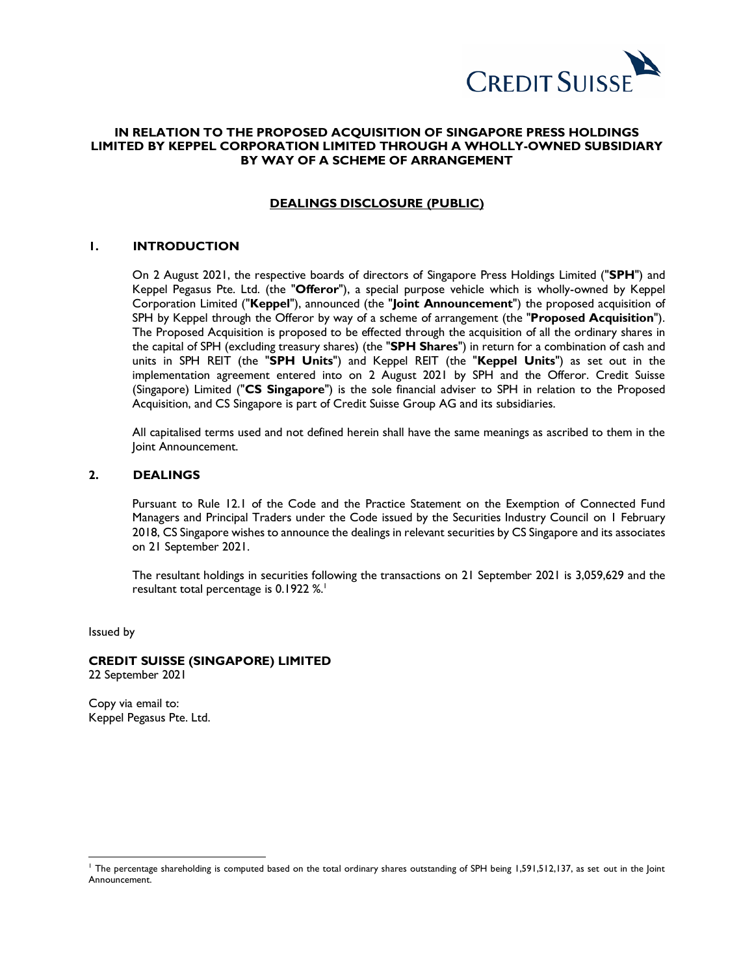

# **IN RELATION TO THE PROPOSED ACQUISITION OF SINGAPORE PRESS HOLDINGS LIMITED BY KEPPEL CORPORATION LIMITED THROUGH A WHOLLY-OWNED SUBSIDIARY BY WAY OF A SCHEME OF ARRANGEMENT**

## **DEALINGS DISCLOSURE (PUBLIC)**

## **1. INTRODUCTION**

On 2 August 2021, the respective boards of directors of Singapore Press Holdings Limited ("**SPH**") and Keppel Pegasus Pte. Ltd. (the "**Offeror**"), a special purpose vehicle which is wholly-owned by Keppel Corporation Limited ("**Keppel**"), announced (the "**Joint Announcement**") the proposed acquisition of SPH by Keppel through the Offeror by way of a scheme of arrangement (the "**Proposed Acquisition**"). The Proposed Acquisition is proposed to be effected through the acquisition of all the ordinary shares in the capital of SPH (excluding treasury shares) (the "**SPH Shares**") in return for a combination of cash and units in SPH REIT (the "**SPH Units**") and Keppel REIT (the "**Keppel Units**") as set out in the implementation agreement entered into on 2 August 2021 by SPH and the Offeror. Credit Suisse (Singapore) Limited ("**CS Singapore**") is the sole financial adviser to SPH in relation to the Proposed Acquisition, and CS Singapore is part of Credit Suisse Group AG and its subsidiaries.

All capitalised terms used and not defined herein shall have the same meanings as ascribed to them in the Joint Announcement.

#### **2. DEALINGS**

Pursuant to Rule 12.1 of the Code and the Practice Statement on the Exemption of Connected Fund Managers and Principal Traders under the Code issued by the Securities Industry Council on 1 February 2018, CS Singapore wishes to announce the dealings in relevant securities by CS Singapore and its associates on 21 September 2021.

The resultant holdings in securities following the transactions on 21 September 2021 is 3,059,629 and the resultant total percentage is 0.1922 %. 1

Issued by

 $\overline{a}$ 

#### **CREDIT SUISSE (SINGAPORE) LIMITED**

22 September 2021

Copy via email to: Keppel Pegasus Pte. Ltd.

<sup>&</sup>lt;sup>1</sup> The percentage shareholding is computed based on the total ordinary shares outstanding of SPH being 1,591,512,137, as set out in the Joint Announcement.